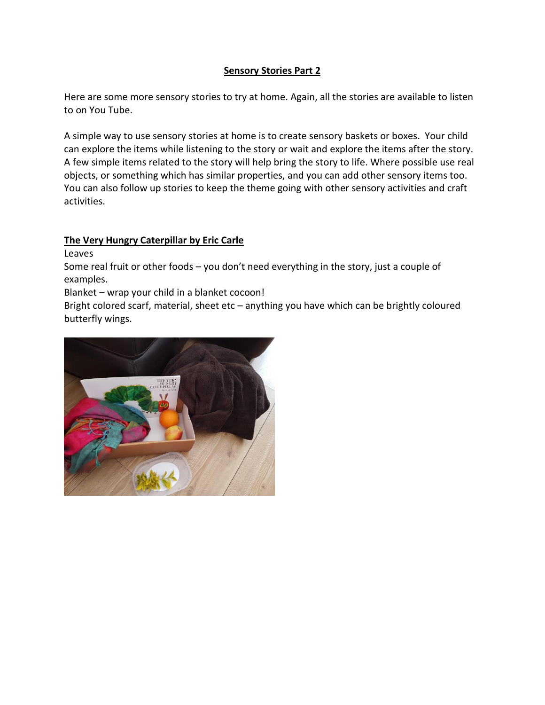## **Sensory Stories Part 2**

Here are some more sensory stories to try at home. Again, all the stories are available to listen to on You Tube.

A simple way to use sensory stories at home is to create sensory baskets or boxes. Your child can explore the items while listening to the story or wait and explore the items after the story. A few simple items related to the story will help bring the story to life. Where possible use real objects, or something which has similar properties, and you can add other sensory items too. You can also follow up stories to keep the theme going with other sensory activities and craft activities.

# **The Very Hungry Caterpillar by Eric Carle**

Leaves

Some real fruit or other foods – you don't need everything in the story, just a couple of examples.

Blanket – wrap your child in a blanket cocoon!

Bright colored scarf, material, sheet etc – anything you have which can be brightly coloured butterfly wings.

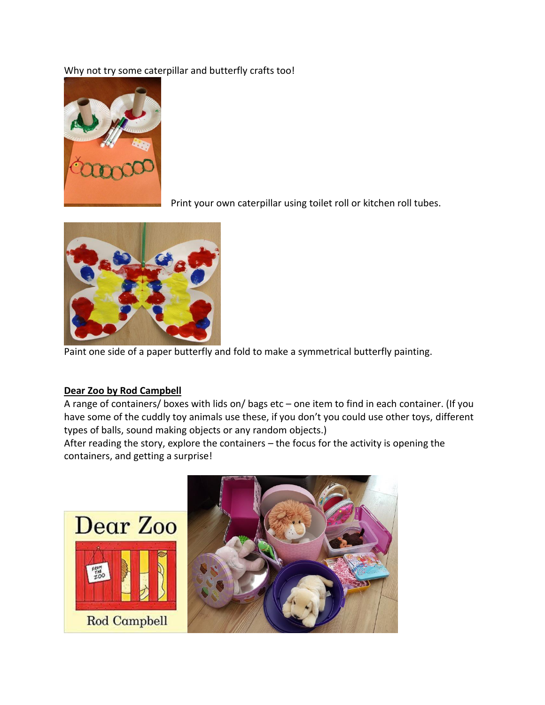# Why not try some caterpillar and butterfly crafts too!



Print your own caterpillar using toilet roll or kitchen roll tubes.



Paint one side of a paper butterfly and fold to make a symmetrical butterfly painting.

### **Dear Zoo by Rod Campbell**

A range of containers/ boxes with lids on/ bags etc – one item to find in each container. (If you have some of the cuddly toy animals use these, if you don't you could use other toys, different types of balls, sound making objects or any random objects.)

After reading the story, explore the containers – the focus for the activity is opening the containers, and getting a surprise!

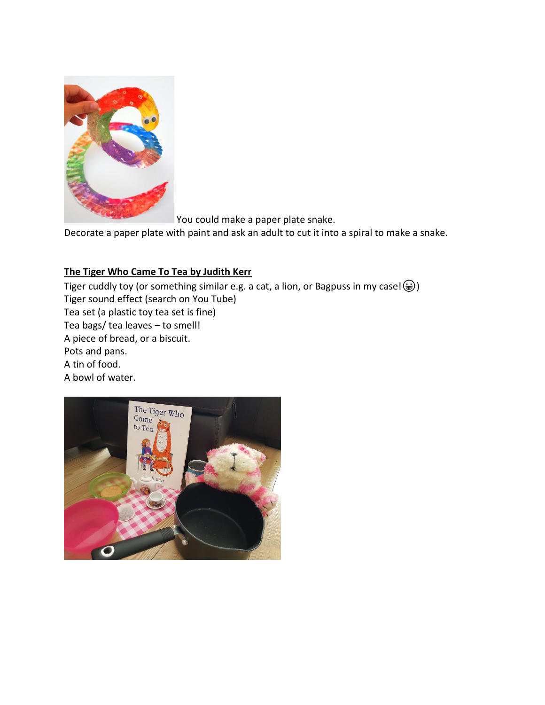

You could make a paper plate snake.

Decorate a paper plate with paint and ask an adult to cut it into a spiral to make a snake.

## **The Tiger Who Came To Tea by Judith Kerr**

Tiger cuddly toy (or something similar e.g. a cat, a lion, or Bagpuss in my case! $\circledast$ ) Tiger sound effect (search on You Tube) Tea set (a plastic toy tea set is fine) Tea bags/ tea leaves – to smell! A piece of bread, or a biscuit. Pots and pans. A tin of food. A bowl of water.

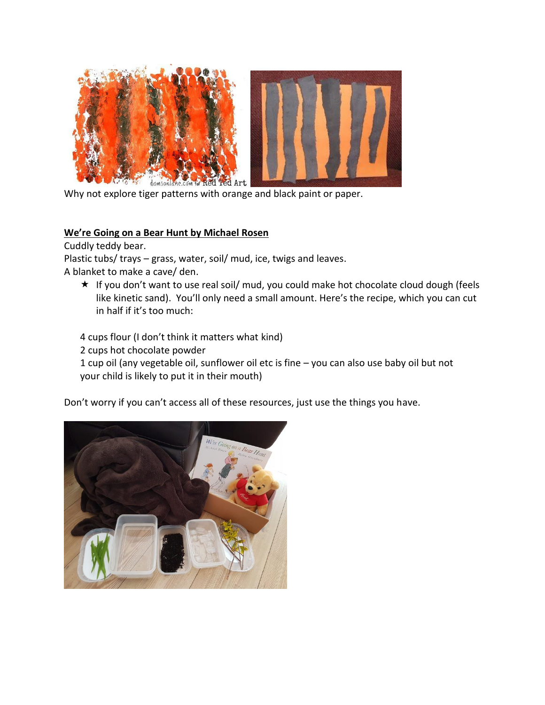



Why not explore tiger patterns with orange and black paint or paper.

#### **We're Going on a Bear Hunt by Michael Rosen**

Cuddly teddy bear.

Plastic tubs/ trays – grass, water, soil/ mud, ice, twigs and leaves. A blanket to make a cave/ den.

\* If you don't want to use real soil/ mud, you could make hot chocolate cloud dough (feels like kinetic sand). You'll only need a small amount. Here's the recipe, which you can cut in half if it's too much:

4 cups flour (I don't think it matters what kind)

2 cups hot chocolate powder

1 cup oil (any vegetable oil, sunflower oil etc is fine – you can also use baby oil but not your child is likely to put it in their mouth)

Don't worry if you can't access all of these resources, just use the things you have.